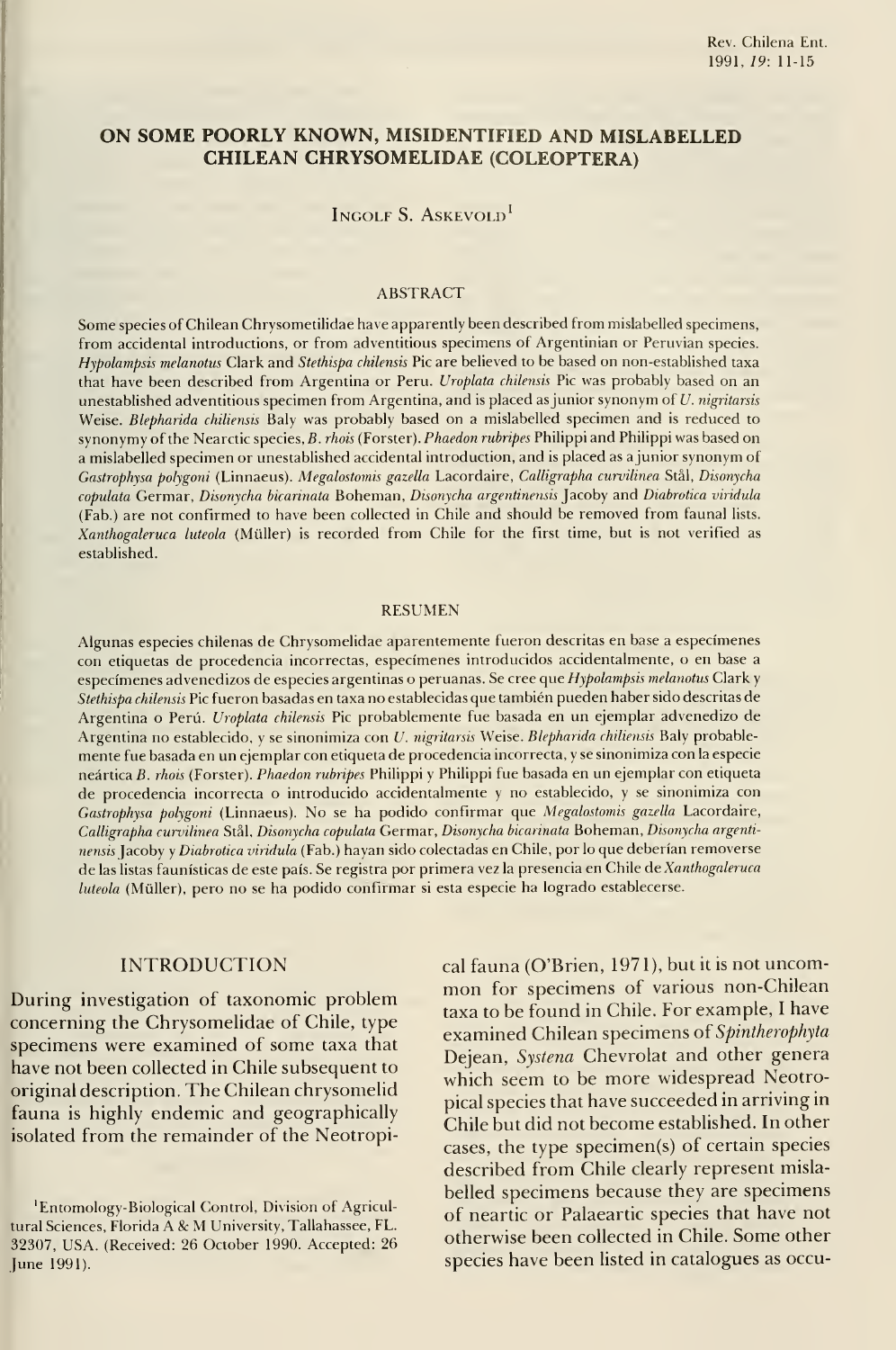# ON SOME POORLY KNOWN, MISIDENTIFIED AND MISLABELLED CHILEAN CHRYSOMELIDAE (COLEÓPTERA)

## Ingolf S. Askevold'

#### ABSTRACT

Some species of Chilean Chrysometilidae have apparently been described from mislabelled specimens, from accidental introductions, or from adventitious specimens of Argentinian or Peruvian species. Hypolampsis melanotus Clark and Stethispa chilensis Pie are believed to be based on non-established taxa that have been described from Argentina or Peru. *Uroplata chilensis* Pic was probably based on an unestablished adventitious specimen from Argentina, and is placed as junior synonym of U. nigritarsis Weise. Blepharida chiliensis Baly was probably based on a mislabelled specimen and is reduced to synonymy of the Nearctic species, B. rhois (Forster). Phaedon rubripes Philippi and Philippi was based on a mislabelled specimen or unestablished accidental introduction, and is placed as <sup>a</sup> júnior synonym of Gastrophysa polygoni (Linnaeus). Megalostomis gazella Lacordaire, Calligrapha curvilinea Stál, Disonycha copulata Germar, Disonycha bicarinata Boheman, Disonycha argentinensis Jacoby and Diabrotica viridula (Fab.) are not confirmed to have been collected in Chile and should be removed from faunal lists. Xanthogaleruca luteola (Müller) is recorded from Chile for the first time, but is not verified as established.

#### RESUMEN

Algunas especies chilenas de Chrysomelidae aparentemente fueron descritas en base <sup>a</sup> especímenes con etiquetas de procedencia incorrectas, especímenes introducidos accidentalmente, o en base <sup>a</sup> especímenes advenedizos de especies argentinas o peruanas. Se cree que Hypolampsis melanotus Clark y Stethispa chilensis Pie fueron basadas en taxa no establecidas que también pueden haber sido descritas de Argentina o Perú. *Uroplata chilensis* Pic probablemente fue basada en un ejemplar advenedizo de Argentina no establecido, y se sinonimiza con U. nigritarsis Weise. Blepharida chiliensis Baly probablemente fue basada en un ejemplar con etiqueta de procedencia incorrecta, <sup>y</sup> se sinonimiza con la especie neártica B. rhois (Forster). Phaedon rubripes Philippi <sup>y</sup> Philippi fue basada en un ejemplar con etiqueta de procedencia incorrecta o introducido accidentalmente <sup>y</sup> no establecido, <sup>y</sup> se sinonimiza con Gastrophysa polygoni (Linnaeus). No se ha podido confirmar que Megalostomis gazella Lacordaire, Calligrapha curvilinea Stál, Disonycha copúlala Germar, Disonycha bicarinata Boheman, Disonycha argenti nensis ]acohy <sup>y</sup> Diabrotica viridula (Fab.) hayan sido colectadas en Chile, por lo que deberían removerse de las listas faunísticas de este país. Se registra por primera vez la presencia en Chile de Xanthogaleruca luteola (Müller), pero no se ha podido confirmar si esta especie ha logrado establecerse.

#### INTRODUCTION

During investigation of taxonomic problem concerning the Chrysomelidae of Chile, type specimens were examined of some taxa that have not been collected in Chile subsequent to original description. The Chilean chrysomelid fauna is highly endemic and geographically isolated from the remainder of the Neotropical fauna (O'Brien, 1971), but it is not uncommon for specimens of various non-Chilean taxa to be found in Chile. For example, <sup>I</sup> have examined Chilean specimens of Spintherophyta Dejean, Systena Chevrolat and other genera which seem to be more widespread Neotropical species that have succeeded in arriving in Chile but did not become established. In other cases, the type specimen(s) of certain species described from Chile clearly represent mislabelled specimens because they are specimens of neartic or Palaeartic species that have not otherwise been collected in Chile. Some other species have been listed in catalogues as occu-

<sup>&#</sup>x27;Entomology-Biological Control, División of Agricultura! Sciences, Florida A & M University, Tallahassee, FL. 32307, USA. (Received: 26 October 1990. Accepted: 26 June 1991).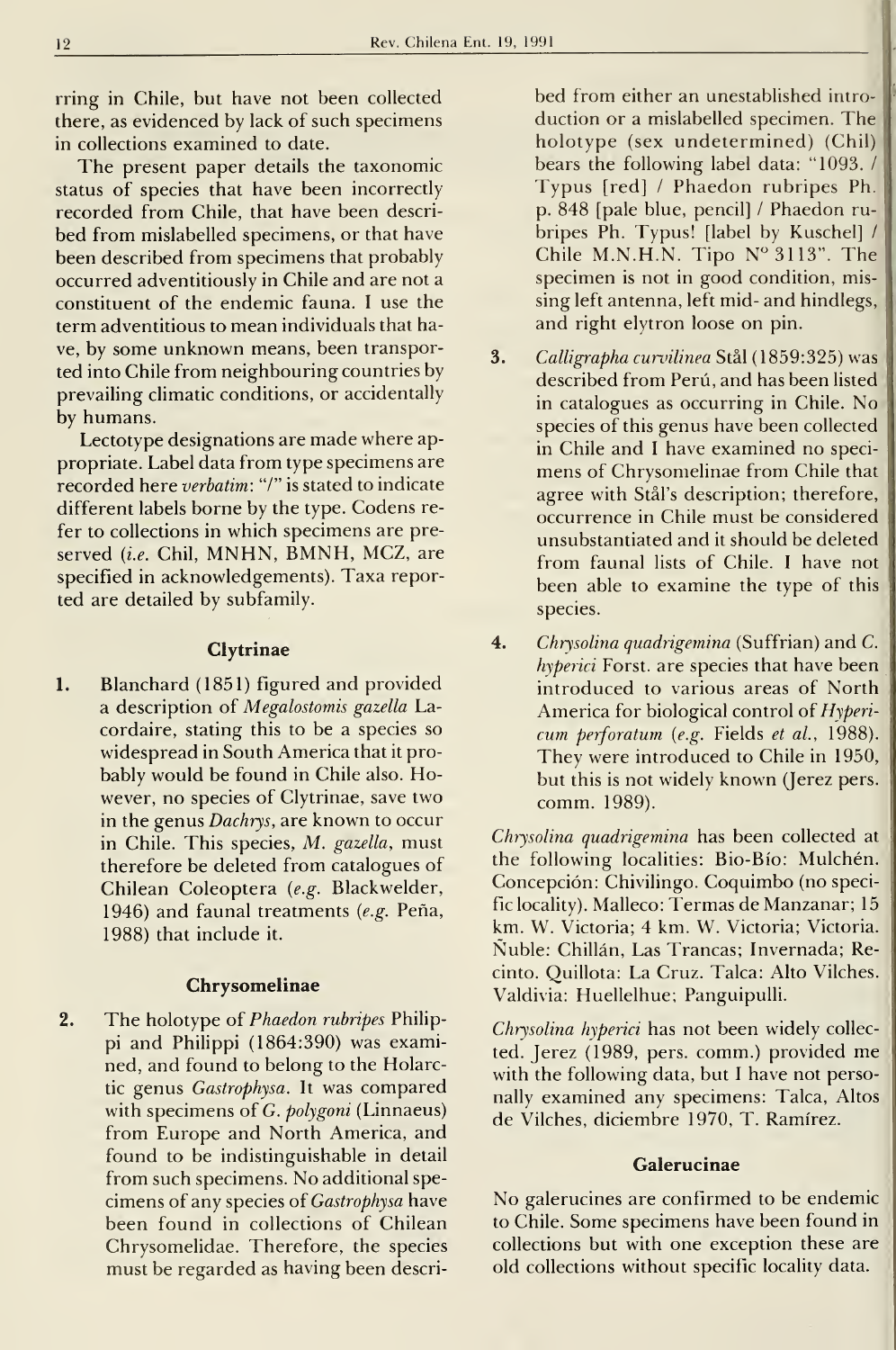rring in Chile, but have not been collected there, as evidenced by lack of such specimens in collections examined to date.

The present paper details the taxonomic status of species that have been incorrectly recorded from Chile, that have been described from mislabelled specimens, or that have been described from specimens that probably occurred adventitiously in Chile and are not a constituent of the endemic fauna. <sup>I</sup> use the term adventitious to mean individuals that have, by some unknown means, been transported into Chile from neighbouring countries by prevailing climatic conditions, or accidentally by humans.

Lectotype designations are made where appropriate. Label data from type specimens are recorded here verbatim: "/" is stated to indícate different labels borne by the type. Codens re fer to collections in which specimens are pre served (i.e. Chil, MNHN, BMNH, MCZ, are specified in acknowledgements). Taxa reported are detailed by subfamily.

#### **Clytrinae**

1. Blanchard (1851) figured and provided a description of Megalostomis gazella Lacordaire, stating this to be a species so widespread in South America that it probably would be found in Chile also. However, no species of Clytrinae, save two in the genus Dachrys, are known to occur in Chile. This species, M. gazella, must therefore be deleted from catalogues of Chilean Coleoptera (e.g. Blackwelder, 1946) and faunal treatments (e.g. Peña, 1988) that include it.

#### Chrysomelinae

2. The holotype of Phaedon rubripes Philippi and Philippi (1864:390) was examined, and found to belong to the Holarctic genus Gastrophysa. It was compared with specimens of G. polygoni (Linnaeus) from Europe and North America, and found to be indistinguishable in detall from such specimens. No additional spe cimens of any species of Gastrophysa have been found in collections of Chilean Chrysomelidae. Therefore, the species must be regarded as having been described from either an unestablished intro duction or a mislabelled specimen. The holotype (sex undetermined) (Chilj bears the following label data: "1093. / Typus [red] / Phaedon rubripes Ph. p. 848 [pale blue, pencil] / Phaedon rubripes Ph. Typus! [label by Kuschel] / Chile M.N.H.N. Tipo  $N^{\circ}3113"$ . The specimen is not in good condition, missing left antenna, left mid- and hindlegs, and right elytron loose on pin.

- 3. Calligrapha curvilinea Stål (1859:325) was described from Perú, and has been listed in catalogues as occurring in Chile. No species of this genus have been collected in Chile and <sup>I</sup> have examined no speci mens of Chrysomelinae from Chile that agree with Stál's description; therefore, occurrence in Chile must be considered unsubstantiated and it should be deleted from faunal lists of Chile. <sup>I</sup> have not been able to examine the type of this species.
- 4. Chrysolina quadrigemina (Suffrian) and C. hyperici Forst. are species that have been introduced to various areas of North America for biological control of Hypericum perforatum (e.g. Fields et al., 1988). They were introduced to Chile in 1950, but this is not widely known (Jerez pers. comm. 1989).

Chrysolina quadrigemina has been collected at the following localities: Bio-Bío: Mulchén. Concepción: Chivilingo. Coquimbo (no specific locality). Malleco: Termas de Manzanar; 15 km. W. Victoria; 4 km. W. Victoria; Victoria. Nuble: Chillan, Las Trancas; Invernada; Recinto. Quillota: La Cruz. Talca: Alto Vilches. Valdivia: Huellelhue; Panguipulli.

Chrysolina hyperici has not been widely collec ted. Jerez (1989, pers. comm.) provided me with the following data, but <sup>I</sup> have not personally examined any specimens: Talca, Altos de Vilches, diciembre 1970, T. Ramírez.

### **Galerucinae**

No galerucines are confirmed to be endemic to Chile. Some specimens have been found in collections but with one exception these are old collections without specific locality data.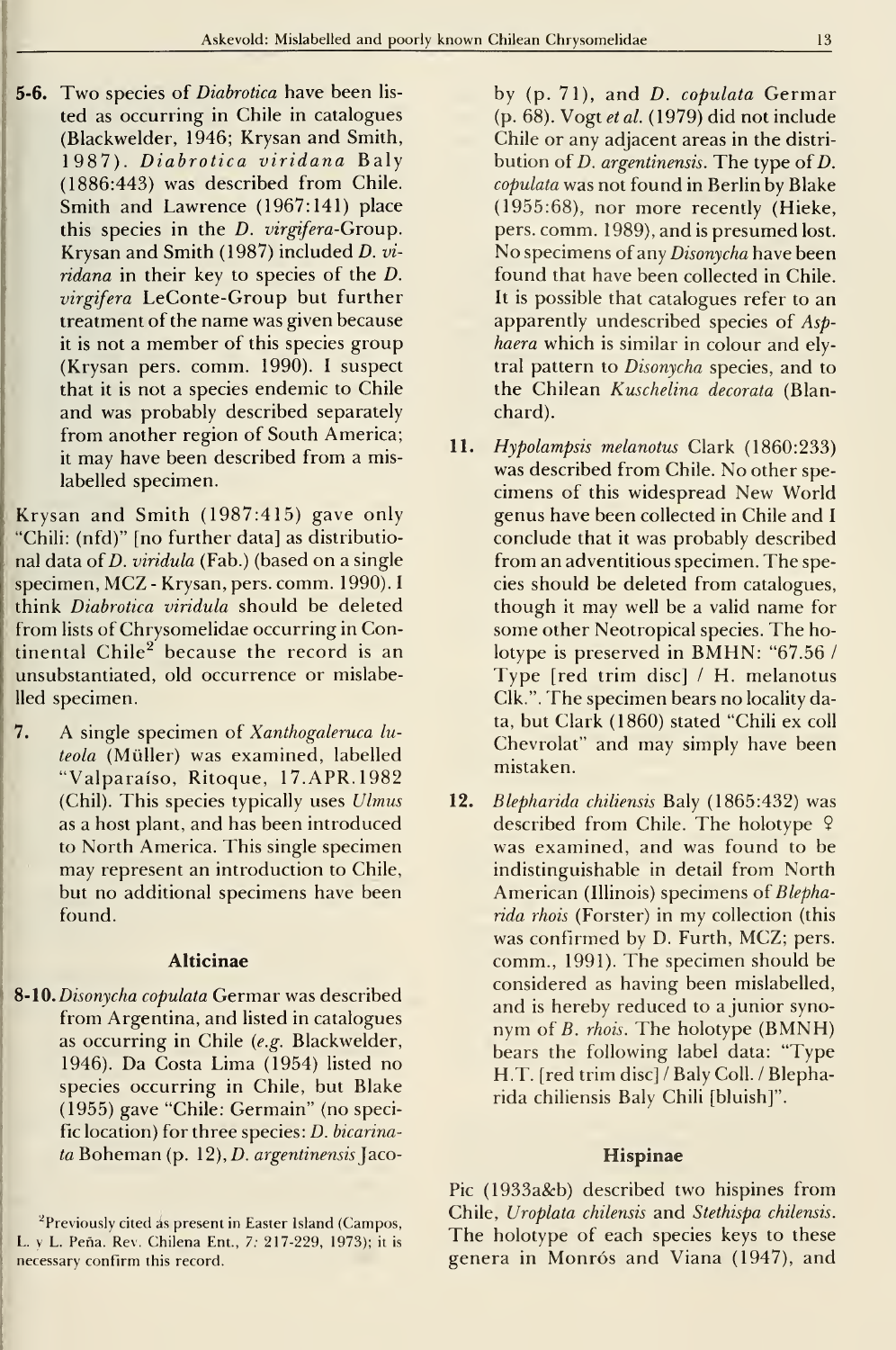**5-6.** Two species of *Diabrotica* have been listed as occurring in Chile in catalogues (Blackwelder, 1946; Krysan and Smith, 1987). Diabrotica viridana Baly (1886:443) was described from Chile. Smith and Lawrence (1967:141) place this species in the D. virgifera-Group. Krysan and Smith (1987) included D. vi ridana in their key to species of the D. virgifera LeConte-Group but further treatment of the name was given because it is not a member of this species group (Krysan pers. comm. 1990). <sup>I</sup> suspect that it is not a species endemic to Chile and was probably described separately from another region of South America; it may have been described from <sup>a</sup> mislabelled specimen.

Krysan and Smith (1987:415) gave only "Chili: (nfd)" [no further data] as distributional data of D. viridula (Fab.) (based on a single specimen, MCZ - Krysan, pers. comm. 1990). <sup>I</sup>think Diabrotica viridula should be deleted from lists of Chrysomelidae occurring in Continental  $Chile<sup>2</sup>$  because the record is an unsubstantiated, old occurrence or mislabelled specimen.

7. A single specimen of Xanthogaleruca lu teola (Müller) was examined, labelled "Valparaíso, Ritoque, 17.APR.1982 (Chil). This species typically uses Ulmus as a host plant, and has been introduced to North America. This single specimen may represent an introduction to Chile, but no additional specimens have been found.

## Alticinae

8-10. Disonycha copulata Germar was described from Argentina, and listed in catalogues as occurring in Chile {e.g. Blackwelder, 1946). Da Costa Lima (1954) listed no species occurring in Chile, but Blake (1955) gave "Chile: Germain" (no specific location) for three species: D. bicarina $ta$  Boheman (p. 12), *D. argentinensis* Jacoby (p. 71), and D. copulata Germar (p. 68). Vogt et al. (1979) did not include Chile or any adjacent areas in the distribution of D. argentinensis. The type of D. copulata was not found in Berlin by Blake (1955:68), ñor more recently (Hieke, pers. comm. 1989), and is presumed lost. No specimens of any Disonycha have been found that have been collected in Chile. It is possible that catalogues refer to an apparently undescribed species of Asphaera which is similar in colour and elytral pattern to Disonycha species, and to the Chilean Kuschelina decorata (Blanchard).

- 11. Hypolampsis melanotus Clark (1860:233) was described from Chile. No other spe cimens of this widespread New World genus have been collected in Chile and <sup>I</sup> conclude that it was probably described from an adventitious specimen. The species should be deleted from catalogues, though it may well be a valid name for some other Neotropical species. The holotype is preserved in BMHN: "67.56 / Type [red trim disc] / H. melanotus Clk.". The specimen bears no locality data, but Clark (1860) stated "Chili ex coll Chevrolat" and may simply have been mistaken.
- 12. Blepharida chiliensis Baly (1865:432) was described from Chile. The holotype 9 was examined, and was found to be indistinguishable in detail from North American (Illinois) specimens oí Blepharida rhois (Forster) in my collection (this was confirmed by D. Furth, MCZ; pers. comm., 1991). The specimen should be considered as having been mislabelled, and is hereby reduced to a junior synonym of *B. rhois*. The holotype (BMNH) bears the following label data: "Type H.T. [red trim disc] / Baly Coll. / Blepharida chiliensis Baly Chili [bluish]".

#### Hispinae

Pic (1933a&b) described two hispines from Chile, Uroplata chilensis and Stethispa chilensis. The holotype of each species keys to these genera in Monrós and Viana (1947), and

<sup>&</sup>lt;sup>2</sup>Previously cited as present in Easter Island (Campos, L. y L. Peña. Rev. Chilena Ent., 7: 217-229, 1973); it is necessary confirm this record.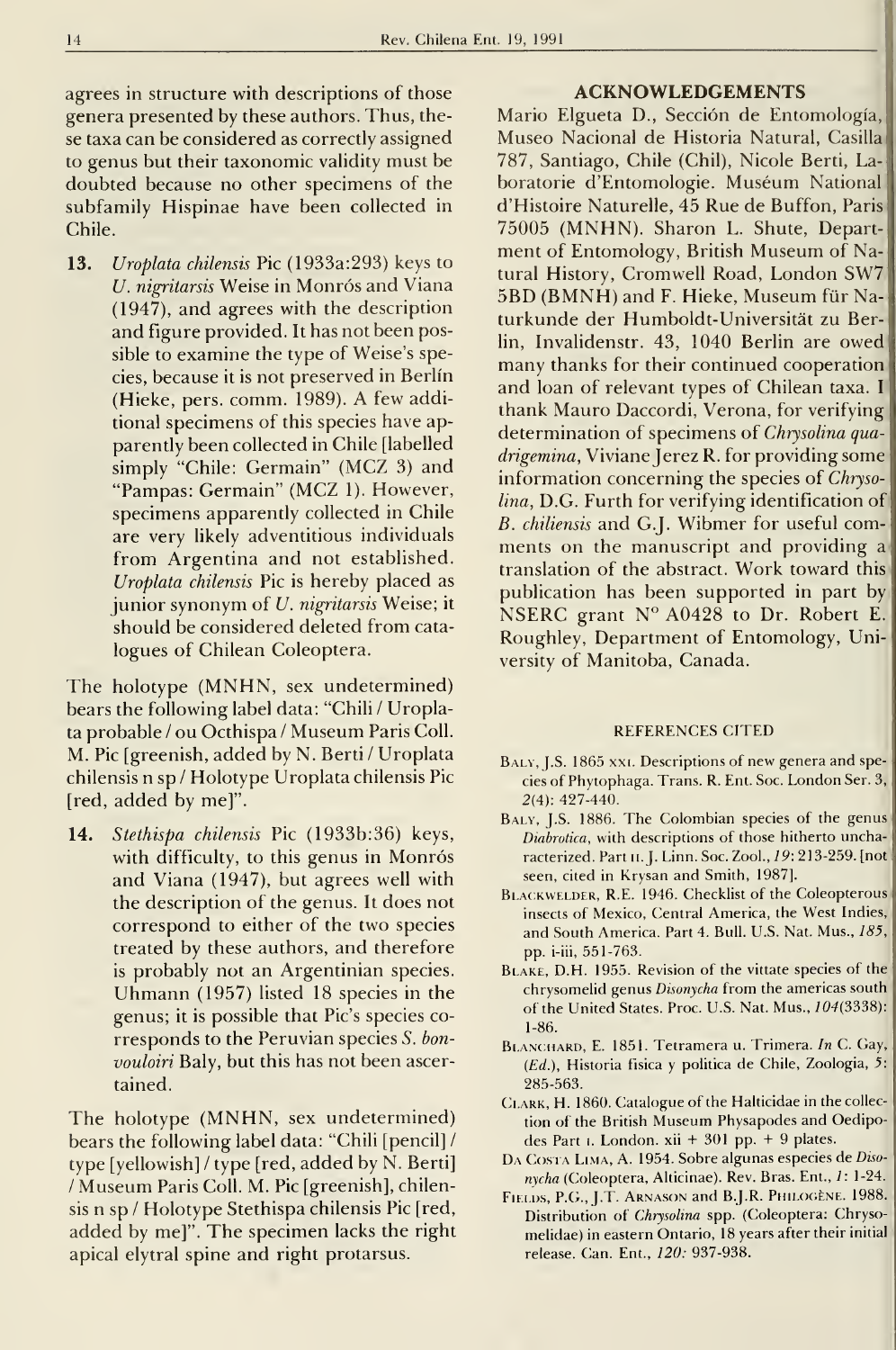agrees in structure with descriptions of those genera presented by these authors. Thus, these taxa can be considered as correcdy assigned to genus but their taxonomic validity must be doubted because no other specimens of the subfamily Hispinae have been collected in Chile.

13. Uroplata chilensis Pic (1933a:293) keys to U. nigritarsis Weise in Monrós and Viana (1947), and agrees with the description and figure provided. It has not been possible to examine the type of Weise's species, because it is not preserved in Berlín (Hieke, pers. comm. 1989). A few additional specimens of this species have ap parently been collected in Chile [labelled simply "Chile: Germain" (MCZ 3) and "Pampas: Germain" (MCZ 1). However, specimens apparently collected in Chile are very likely adventitious individuals from Argentina and not established. Uroplata chilensis Pie is hereby placed as junior synonym of U. nigritarsis Weise; it should be considered deleted from cata logues of Chilean Coleoptera.

The holotype (MNHN, sex undetermined) bears the following label data: "Chili / Uroplata probable / ou Octhispa / Museum Paris Coll. M. Pie [greenish, added by N. Berti / Uroplata chilensis n sp / Holotype Uroplata chilensis Pie [red, added by me]".

14. Stethispa chilensis Pic (1933b:36) keys, with difficulty, to this genus in Monrós and Viana (1947), but agrees well with the description of the genus. It does not correspond to either of the two species treated by these authors, and therefore is probably not an Argentinian species. Uhmann (1957) listed <sup>18</sup> species in the genus; it is possible that Pic's species co rresponds to the Peruvian species S. bonvouloiri Baly, but this has not been ascertained.

The holotype (MNHN, sex undetermined) bears the following label data: "Chili [pencil] / type [yellowish] / type [red, added by N. Berti] / Museum Paris Coll. M. Pie [greenish], chilensis n sp / Holotype Stethispa chilensis Pie [red, added by me]". The specimen lacks the right apical elytral spine and right protarsus.

### ACKNOWLEDGEMENTS

Mario Elgueta D., Sección de Entomología, Museo Nacional de Historia Natural, Casilla 787, Santiago, Chile (Chil), Nicole Berti, Laboratorie d'Entomologie. Muséum National d'Histoire Naturelle, 45 Rué de Buffon, Paris' 75005 (MNHN). Sharon L. Shute, Department of Entomology, British Museum of Natural History, Cromwell Road, London SW7 5BD (BMNH) and F. Hieke, Museum für Naturkunde der Humboldt-Universitát zu Berlín, Invalidenstr. 43, 1040 Berlin are owed many thanks for their continued cooperation and loan of relevant types of Chilean taxa. <sup>I</sup> thank Mauro Daccordi, Verona, for verifying determination of specimens of Chrysolina quadrigemina, Viviane Jerez R. for providing some information concerning the species of Chrysolina, D.G. Furth for verifying identification of B. chiliensis and G.J. Wibmer for useful com ments on the manuscript and providing a translation of the abstract. Work toward this publication has been supported in part by NSERC grant N° A0428 to Dr. Robert E. Roughley, Department of Entomology, University of Manitoba, Ganada.

### REFERENCES CITED

- BALY, J.S. 1865 XXI. Descriptions of new genera and species of Phytophaga. Trans. R. Ent. Soc. London Ser. 3, 2(4): 427-440.
- BALY, J.S. 1886. The Colombian species of the genus Diabrotica, with descriptions of those hitherto uncharacterized. Part II. J. Linn. Soc. Zool., 19: 213-259. [not ] seen, cited in Krysan and Smith, 1987].
- BLACKWELDER, R.E. 1946. Checklist of the Coleopterous insects of Mexico, Central America, the West Indies, and South America. Part 4. Bul!. U.S. Nat. Mus., 185, pp. i-iii, 551-763.
- BLAKE, D.H. 1955. Revision of the vittate species of the chrysomelid genus Disonycha from the americas south of the United States. Proc. U.S. Nat. Mus., 104(3338): 1-86.
- BiANCHARD, E. 1851. Tetramera u. Trimera. In C. Gay, (*Ed*.), Historia fisica y politica de Chile, Zoologia, 5: | 285-563.
- CLARK, H. 1860. Catalogue of the Halticidae in the collection of the British Museum Physapodes and Oedipodes Part 1. London. xii + 301 pp. + 9 plates.
- DA COSTA LIMA, A. 1954. Sobre algunas especies de Disonycha (Coleoptera, Alticinae). Rev. Bras. Ent., 1: 1-24.
- FiFLDS, P.G., J.T. Arnason and B.J.R. Philogéne. 1988. Distribution of Chrysolina spp. (Coleoptera: Chrysomelidae) in eastern Ontario, 18 years after their initial reléase. Can. Ent., 120: 937-938.